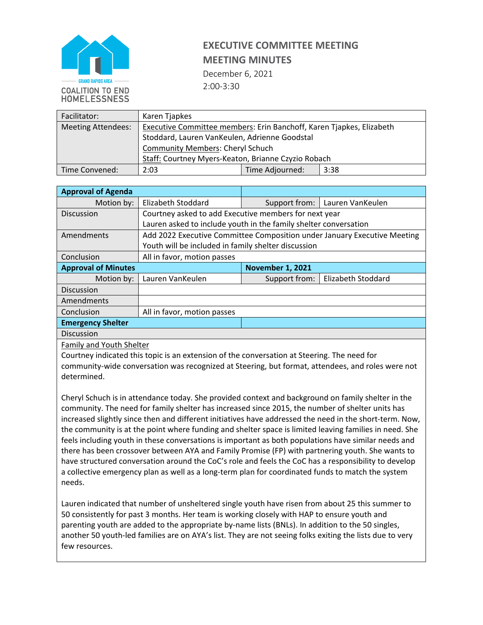

December 6, 2021 2:00-3:30

| Facilitator:              | Karen Tjapkes                                                        |                         |  |  |  |
|---------------------------|----------------------------------------------------------------------|-------------------------|--|--|--|
| <b>Meeting Attendees:</b> | Executive Committee members: Erin Banchoff, Karen Tjapkes, Elizabeth |                         |  |  |  |
|                           | Stoddard, Lauren VanKeulen, Adrienne Goodstal                        |                         |  |  |  |
|                           | <b>Community Members: Cheryl Schuch</b>                              |                         |  |  |  |
|                           | Staff: Courtney Myers-Keaton, Brianne Czyzio Robach                  |                         |  |  |  |
| Time Convened:            | 2:03                                                                 | Time Adjourned:<br>3:38 |  |  |  |

| <b>Approval of Agenda</b>  |                                                                  |                                   |                                                                          |  |  |  |
|----------------------------|------------------------------------------------------------------|-----------------------------------|--------------------------------------------------------------------------|--|--|--|
| Motion by:                 | <b>Elizabeth Stoddard</b>                                        | Lauren VanKeulen<br>Support from: |                                                                          |  |  |  |
| <b>Discussion</b>          | Courtney asked to add Executive members for next year            |                                   |                                                                          |  |  |  |
|                            | Lauren asked to include youth in the family shelter conversation |                                   |                                                                          |  |  |  |
| Amendments                 |                                                                  |                                   | Add 2022 Executive Committee Composition under January Executive Meeting |  |  |  |
|                            | Youth will be included in family shelter discussion              |                                   |                                                                          |  |  |  |
| Conclusion                 | All in favor, motion passes                                      |                                   |                                                                          |  |  |  |
| <b>Approval of Minutes</b> |                                                                  | <b>November 1, 2021</b>           |                                                                          |  |  |  |
| Motion by:                 | Lauren VanKeulen                                                 | Support from:                     | Elizabeth Stoddard                                                       |  |  |  |
| Discussion                 |                                                                  |                                   |                                                                          |  |  |  |
|                            |                                                                  |                                   |                                                                          |  |  |  |
| Amendments                 |                                                                  |                                   |                                                                          |  |  |  |
| Conclusion                 | All in favor, motion passes                                      |                                   |                                                                          |  |  |  |
| <b>Emergency Shelter</b>   |                                                                  |                                   |                                                                          |  |  |  |

Family and Youth Shelter

Courtney indicated this topic is an extension of the conversation at Steering. The need for community-wide conversation was recognized at Steering, but format, attendees, and roles were not determined.

Cheryl Schuch is in attendance today. She provided context and background on family shelter in the community. The need for family shelter has increased since 2015, the number of shelter units has increased slightly since then and different initiatives have addressed the need in the short-term. Now, the community is at the point where funding and shelter space is limited leaving families in need. She feels including youth in these conversations is important as both populations have similar needs and there has been crossover between AYA and Family Promise (FP) with partnering youth. She wants to have structured conversation around the CoC's role and feels the CoC has a responsibility to develop a collective emergency plan as well as a long-term plan for coordinated funds to match the system needs.

Lauren indicated that number of unsheltered single youth have risen from about 25 this summer to 50 consistently for past 3 months. Her team is working closely with HAP to ensure youth and parenting youth are added to the appropriate by-name lists (BNLs). In addition to the 50 singles, another 50 youth-led families are on AYA's list. They are not seeing folks exiting the lists due to very few resources.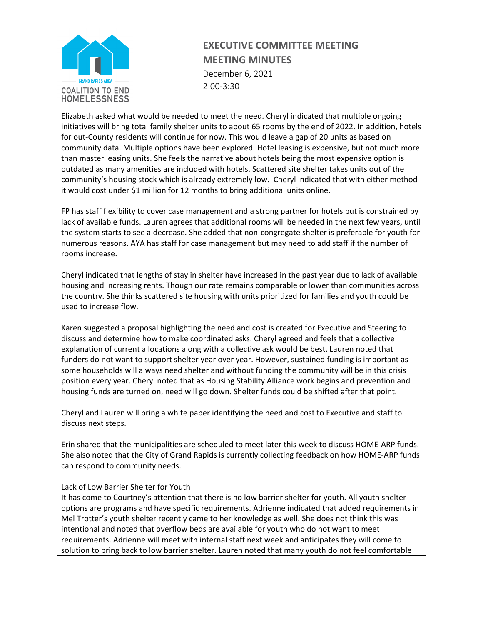

December 6, 2021 2:00-3:30

Elizabeth asked what would be needed to meet the need. Cheryl indicated that multiple ongoing initiatives will bring total family shelter units to about 65 rooms by the end of 2022. In addition, hotels for out-County residents will continue for now. This would leave a gap of 20 units as based on community data. Multiple options have been explored. Hotel leasing is expensive, but not much more than master leasing units. She feels the narrative about hotels being the most expensive option is outdated as many amenities are included with hotels. Scattered site shelter takes units out of the community's housing stock which is already extremely low. Cheryl indicated that with either method it would cost under \$1 million for 12 months to bring additional units online.

FP has staff flexibility to cover case management and a strong partner for hotels but is constrained by lack of available funds. Lauren agrees that additional rooms will be needed in the next few years, until the system starts to see a decrease. She added that non-congregate shelter is preferable for youth for numerous reasons. AYA has staff for case management but may need to add staff if the number of rooms increase.

Cheryl indicated that lengths of stay in shelter have increased in the past year due to lack of available housing and increasing rents. Though our rate remains comparable or lower than communities across the country. She thinks scattered site housing with units prioritized for families and youth could be used to increase flow.

Karen suggested a proposal highlighting the need and cost is created for Executive and Steering to discuss and determine how to make coordinated asks. Cheryl agreed and feels that a collective explanation of current allocations along with a collective ask would be best. Lauren noted that funders do not want to support shelter year over year. However, sustained funding is important as some households will always need shelter and without funding the community will be in this crisis position every year. Cheryl noted that as Housing Stability Alliance work begins and prevention and housing funds are turned on, need will go down. Shelter funds could be shifted after that point.

Cheryl and Lauren will bring a white paper identifying the need and cost to Executive and staff to discuss next steps.

Erin shared that the municipalities are scheduled to meet later this week to discuss HOME-ARP funds. She also noted that the City of Grand Rapids is currently collecting feedback on how HOME-ARP funds can respond to community needs.

#### Lack of Low Barrier Shelter for Youth

It has come to Courtney's attention that there is no low barrier shelter for youth. All youth shelter options are programs and have specific requirements. Adrienne indicated that added requirements in Mel Trotter's youth shelter recently came to her knowledge as well. She does not think this was intentional and noted that overflow beds are available for youth who do not want to meet requirements. Adrienne will meet with internal staff next week and anticipates they will come to solution to bring back to low barrier shelter. Lauren noted that many youth do not feel comfortable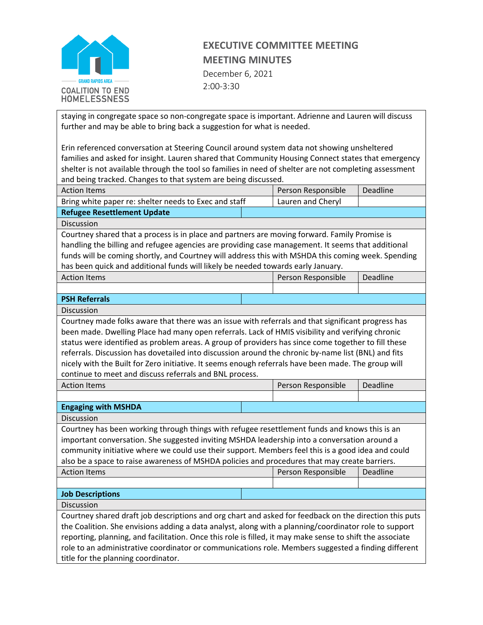

December 6, 2021 2:00-3:30

staying in congregate space so non-congregate space is important. Adrienne and Lauren will discuss further and may be able to bring back a suggestion for what is needed.

Erin referenced conversation at Steering Council around system data not showing unsheltered families and asked for insight. Lauren shared that Community Housing Connect states that emergency shelter is not available through the tool so families in need of shelter are not completing assessment and being tracked. Changes to that system are being discussed.

| <b>Action Items</b>                                   |  | Person Responsible | Deadline |
|-------------------------------------------------------|--|--------------------|----------|
| Bring white paper re: shelter needs to Exec and staff |  | Lauren and Cheryl  |          |
| <b>Refugee Resettlement Update</b>                    |  |                    |          |

**Discussion** 

Courtney shared that a process is in place and partners are moving forward. Family Promise is handling the billing and refugee agencies are providing case management. It seems that additional funds will be coming shortly, and Courtney will address this with MSHDA this coming week. Spending has been quick and additional funds will likely be needed towards early January.

| <b>Action Items</b>  | Person Responsible | Deadline |
|----------------------|--------------------|----------|
|                      |                    |          |
| <b>PSH Referrals</b> |                    |          |

**Discussion** 

Courtney made folks aware that there was an issue with referrals and that significant progress has been made. Dwelling Place had many open referrals. Lack of HMIS visibility and verifying chronic status were identified as problem areas. A group of providers has since come together to fill these referrals. Discussion has dovetailed into discussion around the chronic by-name list (BNL) and fits nicely with the Built for Zero initiative. It seems enough referrals have been made. The group will continue to meet and discuss referrals and BNL process.

Person Responsible | Deadline

| <b>Action Items</b> |
|---------------------|
|---------------------|

**Engaging with MSHDA** 

Discussion

Courtney has been working through things with refugee resettlement funds and knows this is an important conversation. She suggested inviting MSHDA leadership into a conversation around a community initiative where we could use their support. Members feel this is a good idea and could also be a space to raise awareness of MSHDA policies and procedures that may create barriers.

| <b>Action Items</b> | Person Responsible | Deadline |  |
|---------------------|--------------------|----------|--|
|                     |                    |          |  |

**Job Descriptions**

Discussion

Courtney shared draft job descriptions and org chart and asked for feedback on the direction this puts the Coalition. She envisions adding a data analyst, along with a planning/coordinator role to support reporting, planning, and facilitation. Once this role is filled, it may make sense to shift the associate role to an administrative coordinator or communications role. Members suggested a finding different title for the planning coordinator.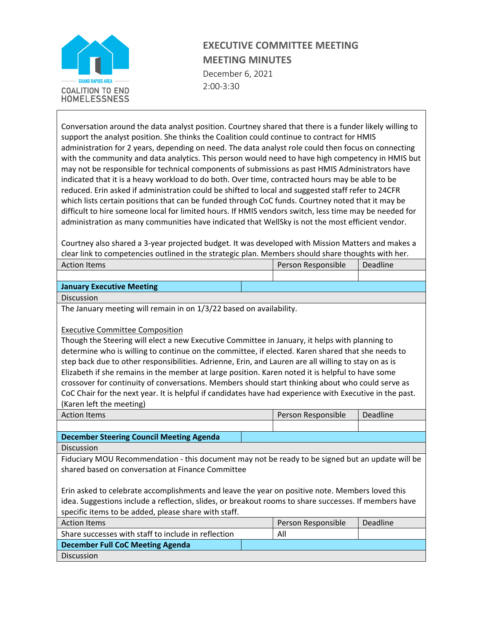

December 6, 2021 2:00-3:30

Conversation around the data analyst position. Courtney shared that there is a funder likely willing to support the analyst position. She thinks the Coalition could continue to contract for HMIS administration for 2 years, depending on need. The data analyst role could then focus on connecting with the community and data analytics. This person would need to have high competency in HMIS but may not be responsible for technical components of submissions as past HMIS Administrators have indicated that it is a heavy workload to do both. Over time, contracted hours may be able to be reduced. Erin asked if administration could be shifted to local and suggested staff refer to 24CFR which lists certain positions that can be funded through CoC funds. Courtney noted that it may be difficult to hire someone local for limited hours. If HMIS vendors switch, less time may be needed for administration as many communities have indicated that WellSky is not the most efficient vendor.

Courtney also shared a 3-year projected budget. It was developed with Mission Matters and makes a clear link to competencies outlined in the strategic plan. Members should share thoughts with her.

|                     | -- |                    |          |  |
|---------------------|----|--------------------|----------|--|
| <b>Action Items</b> |    | Person Responsible | Deadline |  |
|                     |    |                    |          |  |

#### **January Executive Meeting**

**Discussion** 

The January meeting will remain in on 1/3/22 based on availability.

#### Executive Committee Composition

Though the Steering will elect a new Executive Committee in January, it helps with planning to determine who is willing to continue on the committee, if elected. Karen shared that she needs to step back due to other responsibilities. Adrienne, Erin, and Lauren are all willing to stay on as is Elizabeth if she remains in the member at large position. Karen noted it is helpful to have some crossover for continuity of conversations. Members should start thinking about who could serve as CoC Chair for the next year. It is helpful if candidates have had experience with Executive in the past. (Karen left the meeting)

| <b>Action Items</b>                      | Person Responsible | <b>Deadline</b> |
|------------------------------------------|--------------------|-----------------|
|                                          |                    |                 |
| December Steering Council Meeting Agenda |                    |                 |

Discussion

Fiduciary MOU Recommendation - this document may not be ready to be signed but an update will be shared based on conversation at Finance Committee

Erin asked to celebrate accomplishments and leave the year on positive note. Members loved this idea. Suggestions include a reflection, slides, or breakout rooms to share successes. If members have specific items to be added, please share with staff.

| Action Items                                        | Person Responsible | Deadline |
|-----------------------------------------------------|--------------------|----------|
| Share successes with staff to include in reflection | All                |          |
| December Full CoC Meeting Agenda                    |                    |          |
| <b>Discussion</b>                                   |                    |          |